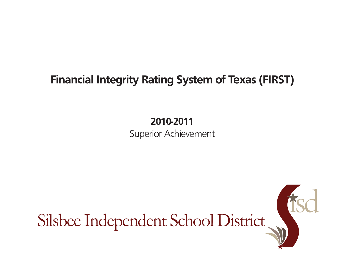## **Financial Integrity Rating System of Texas (FIRST)**

**2010-2011** Superior Achievement

Silsbee Independent School District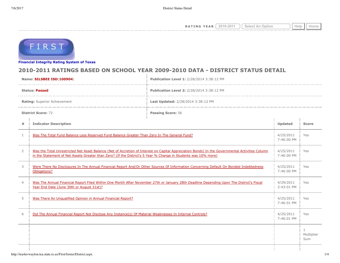**RATING YEAR**  $\boxed{2010-2011}$   $\boxed{\text{Select An Option}}$  Help  $\boxed{\text{Help}}$ 



**[Financial Integrity Rating Syste](http://tea4avwaylon.tea.state.tx.us/First/forms/main.aspx)m of Texas**

## **2010-2011 RATINGS BASED ON SCHOOL YEAR 2009-2010 DATA - DISTRICT STATUS DETAIL**

| Name: SILSBEE ISD(100904)    |                                                                                                                                                                                                                                                                   | Publication Level 1: 2/28/2014 3:38:12 PM |                         |                                   |  |  |
|------------------------------|-------------------------------------------------------------------------------------------------------------------------------------------------------------------------------------------------------------------------------------------------------------------|-------------------------------------------|-------------------------|-----------------------------------|--|--|
| <b>Status: Passed</b>        |                                                                                                                                                                                                                                                                   | Publication Level 2: 2/28/2014 3:38:12 PM |                         |                                   |  |  |
| Rating: Superior Achievement |                                                                                                                                                                                                                                                                   | Last Updated: 2/28/2014 3:38:12 PM        |                         |                                   |  |  |
| <b>District Score: 72</b>    |                                                                                                                                                                                                                                                                   | Passing Score: 56                         |                         |                                   |  |  |
| #                            | <b>Indicator Description</b>                                                                                                                                                                                                                                      |                                           |                         | <b>Score</b>                      |  |  |
| 1                            | Was The Total Fund Balance Less Reserved Fund Balance Greater Than Zero In The General Fund?                                                                                                                                                                      |                                           |                         | Yes                               |  |  |
| 2                            | Was the Total Unrestricted Net Asset Balance (Net of Accretion of Interest on Capital Appreciation Bonds) In the Governmental Activities Column<br>in the Statement of Net Assets Greater than Zero? (If the District's 5 Year % Change in Students was 10% more) | 4/25/2011<br>7:46:00 PM                   | Yes                     |                                   |  |  |
| 3                            | Were There No Disclosures In The Annual Financial Report And/Or Other Sources Of Information Concerning Default On Bonded Indebtedness<br>Obligations?                                                                                                            | 4/25/2011<br>7:46:00 PM                   | Yes                     |                                   |  |  |
| $\overline{4}$               | Was The Annual Financial Report Filed Within One Month After November 27th or January 28th Deadline Depending Upon The District's Fiscal<br>Year End Date (June 30th or August 31st)?                                                                             |                                           |                         | Yes                               |  |  |
| 5                            | Was There An Unqualified Opinion in Annual Financial Report?                                                                                                                                                                                                      |                                           | 4/25/2011<br>7:46:01 PM | Yes                               |  |  |
| 6                            | Did The Annual Financial Report Not Disclose Any Instance(s) Of Material Weaknesses In Internal Controls?                                                                                                                                                         |                                           | 4/25/2011<br>7:46:01 PM | Yes                               |  |  |
|                              |                                                                                                                                                                                                                                                                   |                                           |                         | $\mathbf{1}$<br>Multiplier<br>Sum |  |  |
|                              |                                                                                                                                                                                                                                                                   |                                           |                         |                                   |  |  |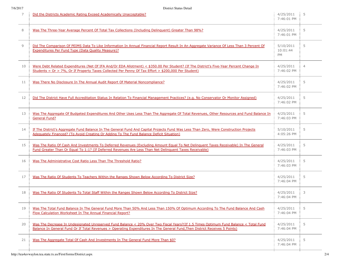| 7  | Did the Districts Academic Rating Exceed Academically Unacceptable?                                                                                                                                                                                                 | 4/25/2011<br>7:46:01 PM            | 5              |
|----|---------------------------------------------------------------------------------------------------------------------------------------------------------------------------------------------------------------------------------------------------------------------|------------------------------------|----------------|
| 8  | Was The Three-Year Average Percent Of Total Tax Collections (Including Delinguent) Greater Than 98%?                                                                                                                                                                | 4/25/2011<br>7:46:01 PM            | 5              |
| 9  | Did The Comparison Of PEIMS Data To Like Information In Annual Financial Report Result In An Aggregate Variance Of Less Than 3 Percent Of<br><b>Expenditures Per Fund Type (Data Quality Measure)?</b>                                                              | 5/10/2011<br>10:01:44<br><b>PM</b> | 5              |
| 10 | Were Debt Related Expenditures (Net Of IFA And/Or EDA Allotment) < \$350.00 Per Student? (If The District's Five-Year Percent Change In<br>Students = $Or > 7\%$ , Or If Property Taxes Collected Per Penny Of Tax Effort > \$200,000 Per Student)                  | 4/25/2011<br>7:46:02 PM            | $\overline{4}$ |
| 11 | Was There No Disclosure In The Annual Audit Report Of Material Noncompliance?                                                                                                                                                                                       | 4/25/2011<br>7:46:02 PM            | 5              |
| 12 | Did The District Have Full Accreditation Status In Relation To Financial Management Practices? (e.g. No Conservator Or Monitor Assigned)                                                                                                                            | 4/25/2011<br>7:46:02 PM            | 5              |
| 13 | Was The Aggregate Of Budgeted Expenditures And Other Uses Less Than The Aggregate Of Total Revenues, Other Resources and Fund Balance In<br><b>General Fund?</b>                                                                                                    | 4/25/2011<br>7:46:03 PM            | 5              |
| 14 | If The District's Aggregate Fund Balance In The General Fund And Capital Projects Fund Was Less Than Zero, Were Construction Projects<br>Adequately Financed? (To Avoid Creating Or Adding To The Fund Balance Deficit Situation)                                   | 5/10/2011<br>4:05:26 PM            | 5              |
| 15 | Was The Ratio Of Cash And Investments To Deferred Revenues (Excluding Amount Equal To Net Delinguent Taxes Receivable) In The General<br>Fund Greater Than Or Equal To 1:1? (If Deferred Revenues Are Less Than Net Delinguent Taxes Receivable)                    | 4/25/2011<br>7:46:03 PM            | 5              |
| 16 | Was The Administrative Cost Ratio Less Than The Threshold Ratio?                                                                                                                                                                                                    | 4/25/2011<br>7:46:03 PM            | 5              |
| 17 | Was The Ratio Of Students To Teachers Within the Ranges Shown Below According To District Size?                                                                                                                                                                     | 4/25/2011<br>7:46:04 PM            | 5              |
| 18 | Was The Ratio Of Students To Total Staff Within the Ranges Shown Below According To District Size?                                                                                                                                                                  | 4/25/2011<br>7:46:04 PM            | 3              |
| 19 | Was The Total Fund Balance In The General Fund More Than 50% And Less Than 150% Of Optimum According To The Fund Balance And Cash<br>Flow Calculation Worksheet In The Annual Financial Report?                                                                     | 4/25/2011<br>7:46:04 PM            | 5              |
| 20 | Was The Decrease In Undesignated Unreserved Fund Balance < 20% Over Two Fiscal Years?(If 1.5 Times Optimum Fund Balance < Total Fund<br>Balance In General Fund Or If Total Revenues > Operating Expenditures In The General Fund, Then District Receives 5 Points) | 4/25/2011<br>7:46:04 PM            | 5              |
| 21 | Was The Aggregate Total Of Cash And Investments In The General Fund More Than \$0?                                                                                                                                                                                  | 4/25/2011<br>7:46:04 PM            | 5              |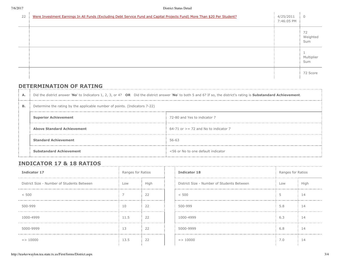| 22 | Were Investment Earnings In All Funds (Excluding Debt Service Fund and Capital Projects Fund) More Than \$20 Per Student? | 4/25/2011<br>7:46:05 PM | $\overline{0}$        |
|----|---------------------------------------------------------------------------------------------------------------------------|-------------------------|-----------------------|
|    |                                                                                                                           |                         | 72<br>Weighted<br>Sum |
|    |                                                                                                                           |                         | Multiplier<br>Sum     |
|    |                                                                                                                           |                         | 72 Score              |

## **DETERMINATION OF RATING**

| Α. | Did the district answer 'No' to Indicators 1, 2, 3, or 4? OR Did the district answer 'No' to both 5 and 6? If so, the district's rating is Substandard Achievement. |                                          |  |  |  |
|----|---------------------------------------------------------------------------------------------------------------------------------------------------------------------|------------------------------------------|--|--|--|
| в. | Determine the rating by the applicable number of points. (Indicators 7-22)                                                                                          |                                          |  |  |  |
|    | <b>Superior Achievement</b>                                                                                                                                         | 72-80 and Yes to indicator 7             |  |  |  |
|    | <b>Above Standard Achievement</b>                                                                                                                                   | $64-71$ or $>= 72$ and No to indicator 7 |  |  |  |
|    | <b>Standard Achievement</b>                                                                                                                                         | 56-63                                    |  |  |  |
|    | <b>Substandard Achievement</b>                                                                                                                                      | <56 or No to one default indicator       |  |  |  |

## **INDICATOR 17 & 18 RATIOS**

| Indicator 17                               | Ranges for Ratios |      | <b>Indicator 18</b>                        | Ranges for Ratios |      |
|--------------------------------------------|-------------------|------|--------------------------------------------|-------------------|------|
| District Size - Number of Students Between | Low               | High | District Size - Number of Students Between | Low               | High |
| < 500                                      |                   | 22   | < 500                                      |                   | 14   |
| 500-999                                    | 10                | 22   | 500-999                                    | 5.8               | 14   |
| 1000-4999                                  | 11.5              | 22   | 1000-4999                                  | 6.3               | 14   |
| 5000-9999                                  | 13                | 22   | 5000-9999                                  | 6.8               | 14   |
| $\Rightarrow$ 10000                        | 13.5              | 22   | $\Rightarrow 10000$                        | 7.0               | 14   |

| <b>Indicator 18</b>                        | Ranges for Ratios |        |  |
|--------------------------------------------|-------------------|--------|--|
| District Size - Number of Students Between | Low               | High   |  |
| < 500                                      | 5                 | 14     |  |
| 500-999                                    | 5.8               | 14     |  |
| 1000-4999                                  | 6.3               | 14<br> |  |
| 5000-9999                                  | 6.8               | 14     |  |
| $\Rightarrow 10000$                        | 7.0               | 14     |  |